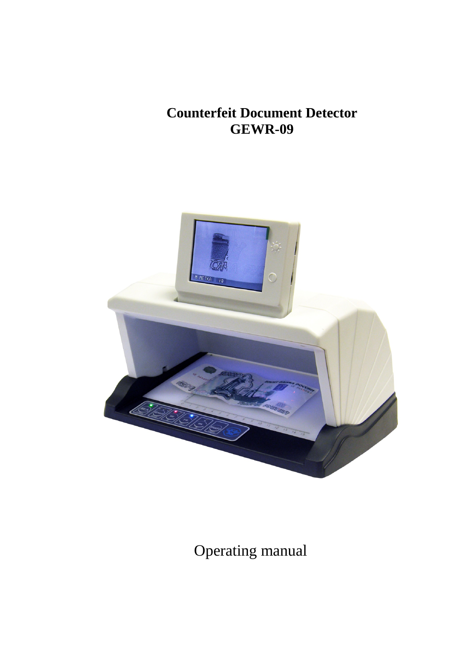# **Counterfeit Document Detector GEWR-09**



Operating manual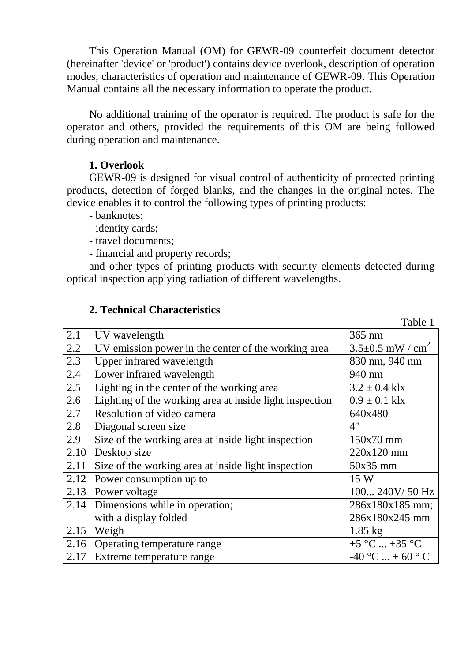This Operation Manual (OM) for GEWR-09 counterfeit document detector (hereinafter 'device' or 'product') contains device overlook, description of operation modes, characteristics of operation and maintenance of GEWR-09. This Operation Manual contains all the necessary information to operate the product.

No additional training of the operator is required. The product is safe for the operator and others, provided the requirements of this OM are being followed during operation and maintenance.

#### **1. Overlook**

GEWR-09 is designed for visual control of authenticity of protected printing products, detection of forged blanks, and the changes in the original notes. The device enables it to control the following types of printing products:

- banknotes;
- identity cards;
- travel documents;
- financial and property records;

and other types of printing products with security elements detected during optical inspection applying radiation of different wavelengths.

 $T_1$  1 1 1 1

#### **2. Technical Characteristics**

|      |                                                         | Table 1                            |
|------|---------------------------------------------------------|------------------------------------|
| 2.1  | UV wavelength                                           | $365$ nm                           |
| 2.2  | UV emission power in the center of the working area     | $3.5 \pm 0.5$ mW / cm <sup>2</sup> |
| 2.3  | Upper infrared wavelength                               | 830 nm, 940 nm                     |
| 2.4  | Lower infrared wavelength                               | 940 nm                             |
| 2.5  | Lighting in the center of the working area              | $3.2 \pm 0.4$ klx                  |
| 2.6  | Lighting of the working area at inside light inspection | $0.9 \pm 0.1$ klx                  |
| 2.7  | Resolution of video camera                              | 640x480                            |
| 2.8  | Diagonal screen size                                    | 4"                                 |
| 2.9  | Size of the working area at inside light inspection     | $150x70$ mm                        |
| 2.10 | Desktop size                                            | 220x120 mm                         |
| 2.11 | Size of the working area at inside light inspection     | $50x35$ mm                         |
| 2.12 | Power consumption up to                                 | 15 W                               |
|      | 2.13   Power voltage                                    | 100 240V / 50 Hz                   |
| 2.14 | Dimensions while in operation;                          | 286x180x185 mm;                    |
|      | with a display folded                                   | 286x180x245 mm                     |
| 2.15 | Weigh                                                   | $1.85$ kg                          |
|      | 2.16 Operating temperature range                        | +5 °C  +35 °C                      |
| 2.17 | Extreme temperature range                               | $-40$ °C  + 60 °C                  |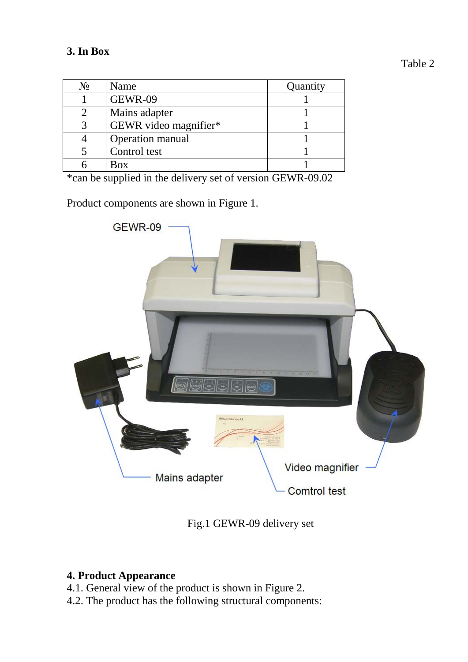| $N_2$ | Name                  | Quantity |
|-------|-----------------------|----------|
|       | <b>GEWR-09</b>        |          |
|       | Mains adapter         |          |
|       | GEWR video magnifier* |          |
|       | Operation manual      |          |
|       | Control test          |          |
|       | Box                   |          |

\*can be supplied in the delivery set of version GEWR-09.02

Product components are shown in Figure 1.



Fig.1 GEWR-09 delivery set

### **4. Product Appearance**

- 4.1. General view of the product is shown in Figure 2.
- 4.2. The product has the following structural components: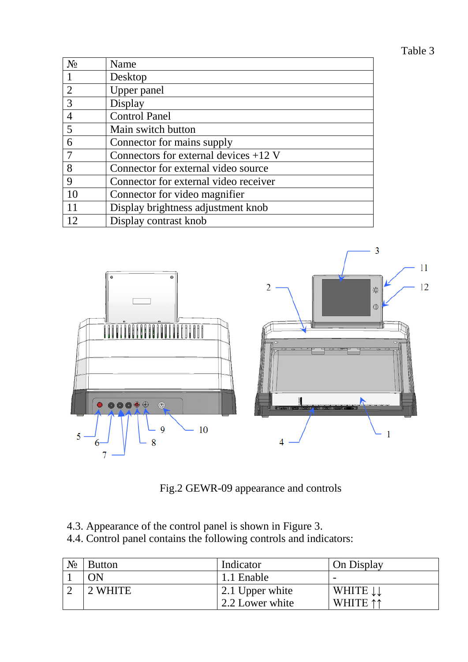# Table 3

| $N_2$          | Name                                    |
|----------------|-----------------------------------------|
|                | Desktop                                 |
| $\overline{2}$ | Upper panel                             |
| 3              | Display                                 |
| $\overline{4}$ | <b>Control Panel</b>                    |
| 5              | Main switch button                      |
| 6              | Connector for mains supply              |
|                | Connectors for external devices $+12$ V |
| 8              | Connector for external video source     |
| 9              | Connector for external video receiver   |
| 10             | Connector for video magnifier           |
|                | Display brightness adjustment knob      |
|                | Display contrast knob                   |



Fig.2 GEWR-09 appearance and controls

- 4.3. Appearance of the control panel is shown in Figure 3.
- 4.4. Control panel contains the following controls and indicators:

| $N_{2}$ | <b>Button</b> | Indicator       | On Display |
|---------|---------------|-----------------|------------|
|         | ON            | 1.1 Enable      |            |
|         | 2 WHITE       | 2.1 Upper white | WHITE II   |
|         |               | 2.2 Lower white | WHITE 11   |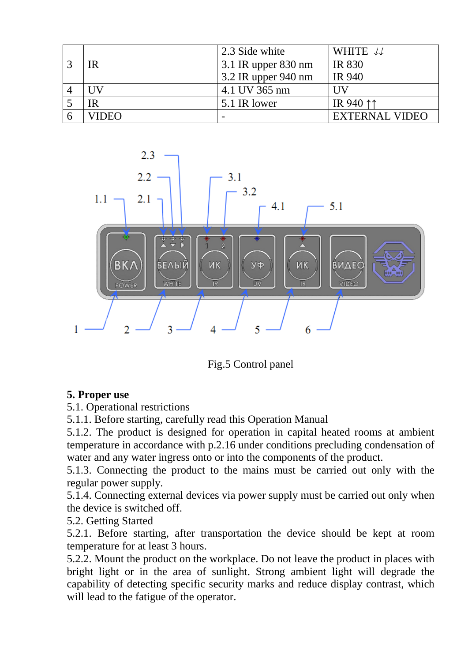|       | 2.3 Side white      | WHITE $\downarrow\downarrow$ |
|-------|---------------------|------------------------------|
| IR    | 3.1 IR upper 830 nm | <b>IR 830</b>                |
|       | 3.2 IR upper 940 nm | <b>IR 940</b>                |
| UV    | 4.1 UV 365 nm       | НV                           |
| IR    | 5.1 IR lower        | IR 940 11                    |
| VIDEO |                     | <b>EXTERNAL VIDEO</b>        |



Fig.5 Control panel

### **5. Proper use**

5.1. Operational restrictions

5.1.1. Before starting, carefully read this Operation Manual

5.1.2. The product is designed for operation in capital heated rooms at ambient temperature in accordance with p.2.16 under conditions precluding condensation of water and any water ingress onto or into the components of the product.

5.1.3. Connecting the product to the mains must be carried out only with the regular power supply.

5.1.4. Connecting external devices via power supply must be carried out only when the device is switched off.

5.2. Getting Started

5.2.1. Before starting, after transportation the device should be kept at room temperature for at least 3 hours.

5.2.2. Mount the product on the workplace. Do not leave the product in places with bright light or in the area of sunlight. Strong ambient light will degrade the capability of detecting specific security marks and reduce display contrast, which will lead to the fatigue of the operator.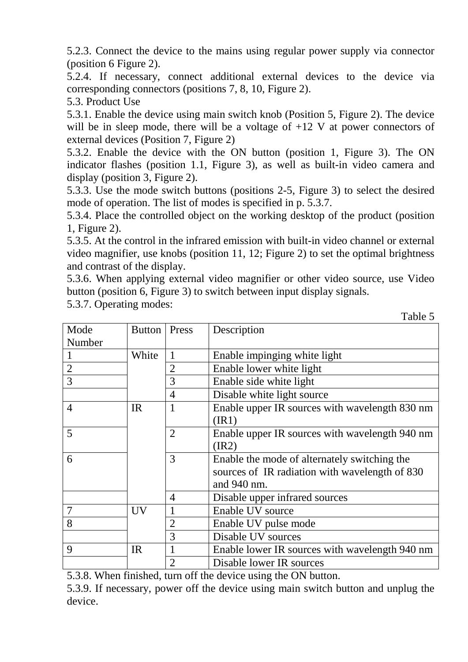5.2.3. Connect the device to the mains using regular power supply via connector (position 6 Figure 2).

5.2.4. If necessary, connect additional external devices to the device via corresponding connectors (positions 7, 8, 10, Figure 2).

5.3. Product Use

5.3.1. Enable the device using main switch knob (Position 5, Figure 2). The device will be in sleep mode, there will be a voltage of  $+12$  V at power connectors of external devices (Position 7, Figure 2)

5.3.2. Enable the device with the ON button (position 1, Figure 3). The ON indicator flashes (position 1.1, Figure 3), as well as built-in video camera and display (position 3, Figure 2).

5.3.3. Use the mode switch buttons (positions 2-5, Figure 3) to select the desired mode of operation. The list of modes is specified in p. 5.3.7.

5.3.4. Place the controlled object on the working desktop of the product (position 1, Figure 2).

5.3.5. At the control in the infrared emission with built-in video channel or external video magnifier, use knobs (position 11, 12; Figure 2) to set the optimal brightness and contrast of the display.

5.3.6. When applying external video magnifier or other video source, use Video button (position 6, Figure 3) to switch between input display signals.

5.3.7. Operating modes:

|                |               |                | r aviv v                                       |
|----------------|---------------|----------------|------------------------------------------------|
| Mode           | <b>Button</b> | Press          | Description                                    |
| Number         |               |                |                                                |
|                | White         |                | Enable impinging white light                   |
| $\sqrt{2}$     |               | 2              | Enable lower white light                       |
| $\overline{3}$ |               | 3              | Enable side white light                        |
|                |               | $\overline{4}$ | Disable white light source                     |
| $\overline{4}$ | <b>IR</b>     | 1              | Enable upper IR sources with wavelength 830 nm |
|                |               |                | (IR1)                                          |
| 5              |               | $\overline{2}$ | Enable upper IR sources with wavelength 940 nm |
|                |               |                | (IR2)                                          |
| 6              |               | 3              | Enable the mode of alternately switching the   |
|                |               |                | sources of IR radiation with wavelength of 830 |
|                |               |                | and 940 nm.                                    |
|                |               | $\overline{4}$ | Disable upper infrared sources                 |
| $\overline{7}$ | <b>UV</b>     |                | Enable UV source                               |
| 8              |               | $\overline{2}$ | Enable UV pulse mode                           |
|                |               | 3              | Disable UV sources                             |
| 9              | <b>IR</b>     |                | Enable lower IR sources with wavelength 940 nm |
|                |               | $\overline{2}$ | Disable lower IR sources                       |

5.3.8. When finished, turn off the device using the ON button.

5.3.9. If necessary, power off the device using main switch button and unplug the device.

Table 5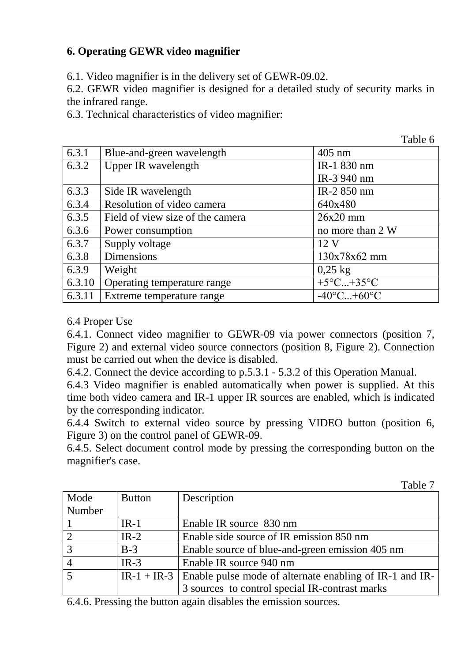## **6. Operating GEWR video magnifier**

6.1. Video magnifier is in the delivery set of GEWR-09.02.

6.2. GEWR video magnifier is designed for a detailed study of security marks in the infrared range.

 $T = 11$ 

 $T$ . 1. 1.  $T$ 

6.3. Technical characteristics of video magnifier:

|        |                                  | Table 6                         |
|--------|----------------------------------|---------------------------------|
| 6.3.1  | Blue-and-green wavelength        | $405$ nm                        |
| 6.3.2  | <b>Upper IR wavelength</b>       | IR-1 830 nm                     |
|        |                                  | IR-3 940 nm                     |
| 6.3.3  | Side IR wavelength               | IR-2 850 nm                     |
| 6.3.4  | Resolution of video camera       | 640x480                         |
| 6.3.5  | Field of view size of the camera | $26x20$ mm                      |
| 6.3.6  | Power consumption                | no more than 2 W                |
| 6.3.7  | Supply voltage                   | 12 <sub>V</sub>                 |
| 6.3.8  | <b>Dimensions</b>                | 130x78x62 mm                    |
| 6.3.9  | Weight                           | $0,25$ kg                       |
| 6.3.10 | Operating temperature range      | $+5^{\circ}$ C $+35^{\circ}$ C  |
| 6.3.11 | Extreme temperature range        | $-40^{\circ}$ C+60 $^{\circ}$ C |

#### 6.4 Proper Use

6.4.1. Connect video magnifier to GEWR-09 via power connectors (position 7, Figure 2) and external video source connectors (position 8, Figure 2). Connection must be carried out when the device is disabled.

6.4.2. Connect the device according to p.5.3.1 - 5.3.2 of this Operation Manual.

6.4.3 Video magnifier is enabled automatically when power is supplied. At this time both video camera and IR-1 upper IR sources are enabled, which is indicated by the corresponding indicator.

6.4.4 Switch to external video source by pressing VIDEO button (position 6, Figure 3) on the control panel of GEWR-09.

6.4.5. Select document control mode by pressing the corresponding button on the magnifier's case.

|                |               | Table 7                                                               |
|----------------|---------------|-----------------------------------------------------------------------|
| Mode           | <b>Button</b> | Description                                                           |
| Number         |               |                                                                       |
|                | $IR-1$        | Enable IR source 830 nm                                               |
| $\overline{2}$ | $IR-2$        | Enable side source of IR emission 850 nm                              |
| $\overline{3}$ | $B-3$         | Enable source of blue-and-green emission 405 nm                       |
| $\overline{4}$ | $IR-3$        | Enable IR source 940 nm                                               |
| $\overline{5}$ |               | $IR-1 + IR-3$ Enable pulse mode of alternate enabling of IR-1 and IR- |
|                |               | 3 sources to control special IR-contrast marks                        |

6.4.6. Pressing the button again disables the emission sources.